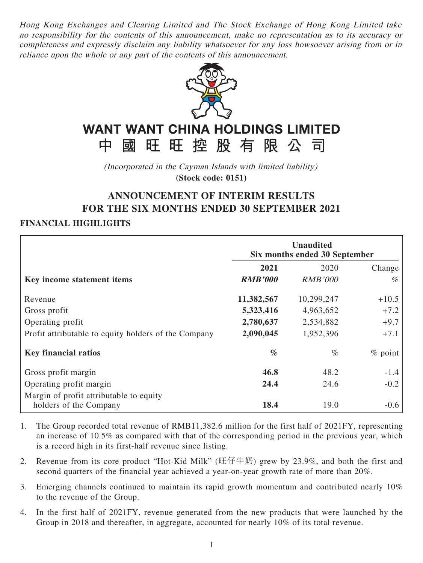Hong Kong Exchanges and Clearing Limited and The Stock Exchange of Hong Kong Limited take no responsibility for the contents of this announcement, make no representation as to its accuracy or completeness and expressly disclaim any liability whatsoever for any loss howsoever arising from or in reliance upon the whole or any part of the contents of this announcement.



# **WANT WANT CHINA HOLDINGS LIMITED**

中國旺旺控股有限公司 (Incorporated in the Cayman Islands with limited liability)

**(Stock code: 0151)**

## **ANNOUNCEMENT OF INTERIM RESULTS FOR THE SIX MONTHS ENDED 30 SEPTEMBER 2021**

### **FINANCIAL HIGHLIGHTS**

|                                                      | <b>Unaudited</b><br>Six months ended 30 September |                |            |  |
|------------------------------------------------------|---------------------------------------------------|----------------|------------|--|
|                                                      | 2021                                              | 2020           | Change     |  |
| Key income statement items                           | <b>RMB'000</b>                                    | <i>RMB'000</i> | %          |  |
| Revenue                                              | 11,382,567                                        | 10,299,247     | $+10.5$    |  |
| Gross profit                                         | 5,323,416                                         | 4,963,652      | $+7.2$     |  |
| Operating profit                                     | 2,780,637                                         | 2,534,882      | $+9.7$     |  |
| Profit attributable to equity holders of the Company | 2,090,045                                         | 1,952,396      | $+7.1$     |  |
| <b>Key financial ratios</b>                          | $\%$                                              | $\%$           | $\%$ point |  |
| Gross profit margin                                  | 46.8                                              | 48.2           | $-1.4$     |  |
| Operating profit margin                              | 24.4                                              | 24.6           | $-0.2$     |  |
| Margin of profit attributable to equity              |                                                   |                |            |  |
| holders of the Company                               | 18.4                                              | 19.0           | $-0.6$     |  |

- 1. The Group recorded total revenue of RMB11,382.6 million for the first half of 2021FY, representing an increase of 10.5% as compared with that of the corresponding period in the previous year, which is a record high in its first-half revenue since listing.
- 2. Revenue from its core product "Hot-Kid Milk" (旺仔牛奶) grew by 23.9%, and both the first and second quarters of the financial year achieved a year-on-year growth rate of more than 20%.
- 3. Emerging channels continued to maintain its rapid growth momentum and contributed nearly 10% to the revenue of the Group.
- 4. In the first half of 2021FY, revenue generated from the new products that were launched by the Group in 2018 and thereafter, in aggregate, accounted for nearly 10% of its total revenue.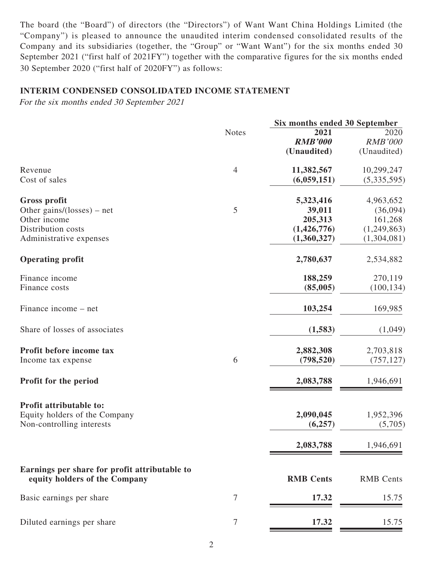The board (the "Board") of directors (the "Directors") of Want Want China Holdings Limited (the "Company") is pleased to announce the unaudited interim condensed consolidated results of the Company and its subsidiaries (together, the "Group" or "Want Want") for the six months ended 30 September 2021 ("first half of 2021FY") together with the comparative figures for the six months ended 30 September 2020 ("first half of 2020FY") as follows:

#### **INTERIM CONDENSED CONSOLIDATED INCOME STATEMENT**

For the six months ended 30 September 2021

|                                                                                |                | Six months ended 30 September |                  |  |
|--------------------------------------------------------------------------------|----------------|-------------------------------|------------------|--|
|                                                                                | <b>Notes</b>   | 2021                          | 2020             |  |
|                                                                                |                | <b>RMB'000</b>                | <b>RMB'000</b>   |  |
|                                                                                |                | (Unaudited)                   | (Unaudited)      |  |
| Revenue                                                                        | $\overline{4}$ | 11,382,567                    | 10,299,247       |  |
| Cost of sales                                                                  |                | (6,059,151)                   | (5,335,595)      |  |
| <b>Gross profit</b>                                                            |                | 5,323,416                     | 4,963,652        |  |
| Other gains/(losses) – net                                                     | 5              | 39,011                        | (36,094)         |  |
| Other income                                                                   |                | 205,313                       | 161,268          |  |
| Distribution costs                                                             |                | (1,426,776)                   | (1,249,863)      |  |
| Administrative expenses                                                        |                | (1,360,327)                   | (1,304,081)      |  |
| <b>Operating profit</b>                                                        |                | 2,780,637                     | 2,534,882        |  |
| Finance income                                                                 |                | 188,259                       | 270,119          |  |
| Finance costs                                                                  |                | (85,005)                      | (100, 134)       |  |
| Finance income – net                                                           |                | 103,254                       | 169,985          |  |
| Share of losses of associates                                                  |                | (1,583)                       | (1,049)          |  |
| Profit before income tax                                                       |                | 2,882,308                     | 2,703,818        |  |
| Income tax expense                                                             | 6              | (798, 520)                    | (757, 127)       |  |
| Profit for the period                                                          |                | 2,083,788                     | 1,946,691        |  |
| Profit attributable to:                                                        |                |                               |                  |  |
| Equity holders of the Company                                                  |                | 2,090,045                     | 1,952,396        |  |
| Non-controlling interests                                                      |                | (6,257)                       | (5,705)          |  |
|                                                                                |                |                               |                  |  |
|                                                                                |                | 2,083,788                     | 1,946,691        |  |
| Earnings per share for profit attributable to<br>equity holders of the Company |                | <b>RMB</b> Cents              | <b>RMB</b> Cents |  |
| Basic earnings per share                                                       | 7              | 17.32                         | 15.75            |  |
|                                                                                |                | 17.32                         |                  |  |
| Diluted earnings per share                                                     | 7              |                               | 15.75            |  |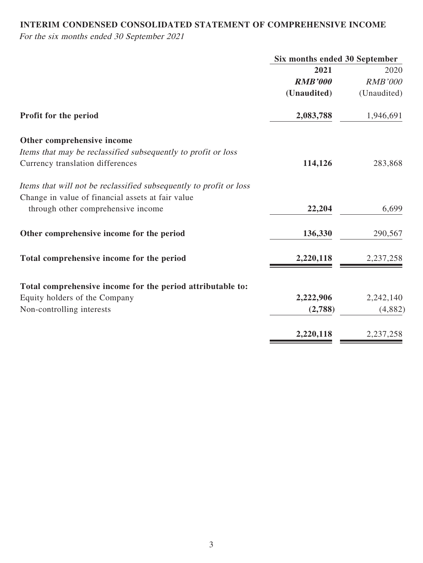### **INTERIM CONDENSED CONSOLIDATED STATEMENT OF COMPREHENSIVE INCOME**

For the six months ended 30 September 2021

|                                                                    | Six months ended 30 September |                |  |
|--------------------------------------------------------------------|-------------------------------|----------------|--|
|                                                                    | 2021                          | 2020           |  |
|                                                                    | <b>RMB'000</b>                | <b>RMB'000</b> |  |
|                                                                    | (Unaudited)                   | (Unaudited)    |  |
| Profit for the period                                              | 2,083,788                     | 1,946,691      |  |
| Other comprehensive income                                         |                               |                |  |
| Items that may be reclassified subsequently to profit or loss      |                               |                |  |
| Currency translation differences                                   | 114,126                       | 283,868        |  |
| Items that will not be reclassified subsequently to profit or loss |                               |                |  |
| Change in value of financial assets at fair value                  |                               |                |  |
| through other comprehensive income                                 | 22,204                        | 6,699          |  |
| Other comprehensive income for the period                          | 136,330                       | 290,567        |  |
| Total comprehensive income for the period                          | 2,220,118                     | 2,237,258      |  |
| Total comprehensive income for the period attributable to:         |                               |                |  |
| Equity holders of the Company                                      | 2,222,906                     | 2,242,140      |  |
| Non-controlling interests                                          | (2,788)                       | (4,882)        |  |
|                                                                    | 2,220,118                     | 2,237,258      |  |
|                                                                    |                               |                |  |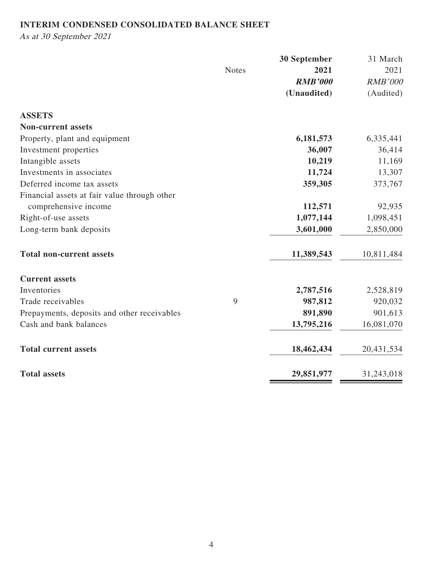### **INTERIM CONDENSED CONSOLIDATED BALANCE SHEET**

As at 30 September 2021

|                                              |              | <b>30 September</b> | 31 March       |
|----------------------------------------------|--------------|---------------------|----------------|
|                                              | <b>Notes</b> | 2021                | 2021           |
|                                              |              | <b>RMB'000</b>      | <b>RMB'000</b> |
|                                              |              | (Unaudited)         | (Audited)      |
| <b>ASSETS</b>                                |              |                     |                |
| <b>Non-current assets</b>                    |              |                     |                |
| Property, plant and equipment                |              | 6,181,573           | 6,335,441      |
| Investment properties                        |              | 36,007              | 36,414         |
| Intangible assets                            |              | 10,219              | 11,169         |
| Investments in associates                    |              | 11,724              | 13,307         |
| Deferred income tax assets                   |              | 359,305             | 373,767        |
| Financial assets at fair value through other |              |                     |                |
| comprehensive income                         |              | 112,571             | 92,935         |
| Right-of-use assets                          |              | 1,077,144           | 1,098,451      |
| Long-term bank deposits                      |              | 3,601,000           | 2,850,000      |
| <b>Total non-current assets</b>              |              | 11,389,543          | 10,811,484     |
| <b>Current assets</b>                        |              |                     |                |
| Inventories                                  |              | 2,787,516           | 2,528,819      |
| Trade receivables                            | 9            | 987,812             | 920,032        |
| Prepayments, deposits and other receivables  |              | 891,890             | 901,613        |
| Cash and bank balances                       |              | 13,795,216          | 16,081,070     |
| <b>Total current assets</b>                  |              | 18,462,434          | 20,431,534     |
| <b>Total assets</b>                          |              | 29,851,977          | 31,243,018     |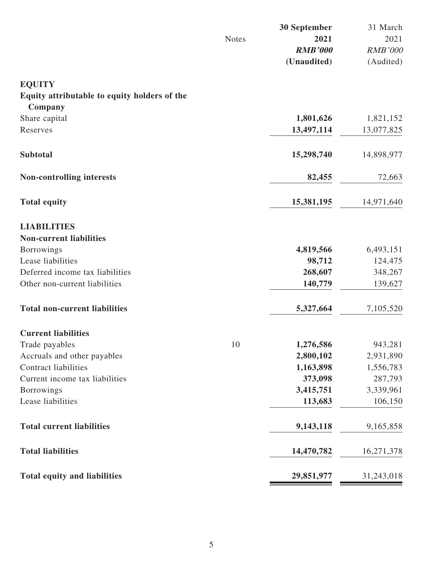|                                                         |              | 30 September   | 31 March       |
|---------------------------------------------------------|--------------|----------------|----------------|
|                                                         | <b>Notes</b> | 2021           | 2021           |
|                                                         |              | <b>RMB'000</b> | <b>RMB'000</b> |
|                                                         |              | (Unaudited)    | (Audited)      |
| <b>EQUITY</b>                                           |              |                |                |
| Equity attributable to equity holders of the<br>Company |              |                |                |
| Share capital                                           |              | 1,801,626      | 1,821,152      |
| Reserves                                                |              | 13,497,114     | 13,077,825     |
|                                                         |              |                |                |
| <b>Subtotal</b>                                         |              | 15,298,740     | 14,898,977     |
| <b>Non-controlling interests</b>                        |              | 82,455         | 72,663         |
| <b>Total equity</b>                                     |              | 15,381,195     | 14,971,640     |
| <b>LIABILITIES</b>                                      |              |                |                |
| <b>Non-current liabilities</b>                          |              |                |                |
| <b>Borrowings</b>                                       |              | 4,819,566      | 6,493,151      |
| Lease liabilities                                       |              | 98,712         | 124,475        |
| Deferred income tax liabilities                         |              | 268,607        | 348,267        |
| Other non-current liabilities                           |              | 140,779        | 139,627        |
| <b>Total non-current liabilities</b>                    |              | 5,327,664      | 7,105,520      |
| <b>Current liabilities</b>                              |              |                |                |
| Trade payables                                          | 10           | 1,276,586      | 943,281        |
| Accruals and other payables                             |              | 2,800,102      | 2,931,890      |
| <b>Contract liabilities</b>                             |              | 1,163,898      | 1,556,783      |
| Current income tax liabilities                          |              | 373,098        | 287,793        |
| <b>Borrowings</b>                                       |              | 3,415,751      | 3,339,961      |
| Lease liabilities                                       |              | 113,683        | 106,150        |
| <b>Total current liabilities</b>                        |              | 9,143,118      | 9,165,858      |
| <b>Total liabilities</b>                                |              | 14,470,782     | 16,271,378     |
| <b>Total equity and liabilities</b>                     |              | 29,851,977     | 31,243,018     |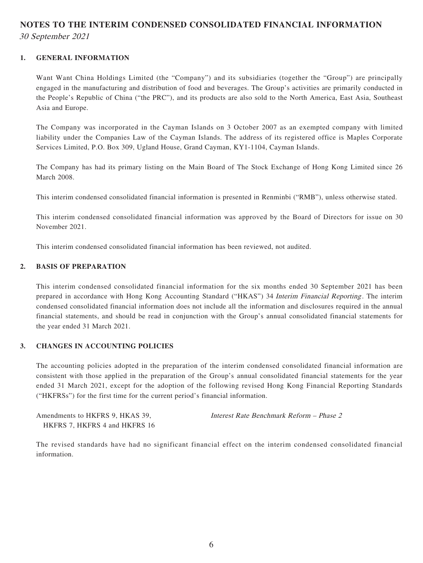### **NOTES TO THE INTERIM CONDENSED CONSOLIDATED FINANCIAL INFORMATION** 30 September 2021

#### **1. GENERAL INFORMATION**

Want Want China Holdings Limited (the "Company") and its subsidiaries (together the "Group") are principally engaged in the manufacturing and distribution of food and beverages. The Group's activities are primarily conducted in the People's Republic of China ("the PRC"), and its products are also sold to the North America, East Asia, Southeast Asia and Europe.

The Company was incorporated in the Cayman Islands on 3 October 2007 as an exempted company with limited liability under the Companies Law of the Cayman Islands. The address of its registered office is Maples Corporate Services Limited, P.O. Box 309, Ugland House, Grand Cayman, KY1-1104, Cayman Islands.

The Company has had its primary listing on the Main Board of The Stock Exchange of Hong Kong Limited since 26 March 2008.

This interim condensed consolidated financial information is presented in Renminbi ("RMB"), unless otherwise stated.

This interim condensed consolidated financial information was approved by the Board of Directors for issue on 30 November 2021.

This interim condensed consolidated financial information has been reviewed, not audited.

#### **2. BASIS OF PREPARATION**

This interim condensed consolidated financial information for the six months ended 30 September 2021 has been prepared in accordance with Hong Kong Accounting Standard ("HKAS") 34 Interim Financial Reporting. The interim condensed consolidated financial information does not include all the information and disclosures required in the annual financial statements, and should be read in conjunction with the Group's annual consolidated financial statements for the year ended 31 March 2021.

#### **3. CHANGES IN ACCOUNTING POLICIES**

The accounting policies adopted in the preparation of the interim condensed consolidated financial information are consistent with those applied in the preparation of the Group's annual consolidated financial statements for the year ended 31 March 2021, except for the adoption of the following revised Hong Kong Financial Reporting Standards ("HKFRSs") for the first time for the current period's financial information.

Amendments to HKFRS 9, HKAS 39, HKFRS 7, HKFRS 4 and HKFRS 16 Interest Rate Benchmark Reform – Phase 2

The revised standards have had no significant financial effect on the interim condensed consolidated financial information.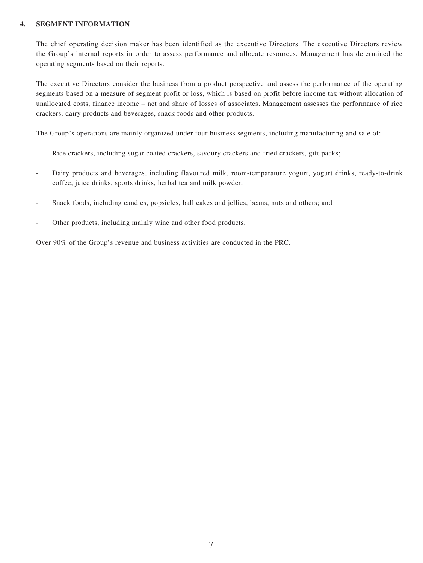#### **4. SEGMENT INFORMATION**

The chief operating decision maker has been identified as the executive Directors. The executive Directors review the Group's internal reports in order to assess performance and allocate resources. Management has determined the operating segments based on their reports.

The executive Directors consider the business from a product perspective and assess the performance of the operating segments based on a measure of segment profit or loss, which is based on profit before income tax without allocation of unallocated costs, finance income – net and share of losses of associates. Management assesses the performance of rice crackers, dairy products and beverages, snack foods and other products.

The Group's operations are mainly organized under four business segments, including manufacturing and sale of:

- Rice crackers, including sugar coated crackers, savoury crackers and fried crackers, gift packs;
- Dairy products and beverages, including flavoured milk, room-temparature yogurt, yogurt drinks, ready-to-drink coffee, juice drinks, sports drinks, herbal tea and milk powder;
- Snack foods, including candies, popsicles, ball cakes and jellies, beans, nuts and others; and
- Other products, including mainly wine and other food products.

Over 90% of the Group's revenue and business activities are conducted in the PRC.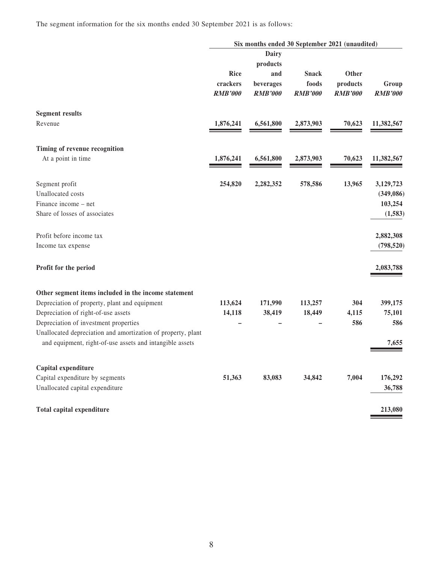The segment information for the six months ended 30 September 2021 is as follows:

|                                                              |                                    | Six months ended 30 September 2021 (unaudited)                 |                                         |                                     |                         |
|--------------------------------------------------------------|------------------------------------|----------------------------------------------------------------|-----------------------------------------|-------------------------------------|-------------------------|
|                                                              | Rice<br>crackers<br><b>RMB'000</b> | <b>Dairy</b><br>products<br>and<br>beverages<br><b>RMB'000</b> | <b>Snack</b><br>foods<br><b>RMB'000</b> | Other<br>products<br><b>RMB'000</b> | Group<br><b>RMB'000</b> |
| <b>Segment results</b>                                       |                                    |                                                                |                                         |                                     |                         |
| Revenue                                                      | 1,876,241                          | 6,561,800                                                      | 2,873,903                               | 70,623                              | 11,382,567              |
| Timing of revenue recognition                                |                                    |                                                                |                                         |                                     |                         |
| At a point in time                                           | 1,876,241                          | 6,561,800                                                      | 2,873,903                               | 70,623                              | 11,382,567              |
| Segment profit                                               | 254,820                            | 2,282,352                                                      | 578,586                                 | 13,965                              | 3,129,723               |
| Unallocated costs                                            |                                    |                                                                |                                         |                                     | (349,086)               |
| Finance income – net                                         |                                    |                                                                |                                         |                                     | 103,254                 |
| Share of losses of associates                                |                                    |                                                                |                                         |                                     | (1, 583)                |
| Profit before income tax                                     |                                    |                                                                |                                         |                                     | 2,882,308               |
| Income tax expense                                           |                                    |                                                                |                                         |                                     | (798, 520)              |
| Profit for the period                                        |                                    |                                                                |                                         |                                     | 2,083,788               |
| Other segment items included in the income statement         |                                    |                                                                |                                         |                                     |                         |
| Depreciation of property, plant and equipment                | 113,624                            | 171,990                                                        | 113,257                                 | 304                                 | 399,175                 |
| Depreciation of right-of-use assets                          | 14,118                             | 38,419                                                         | 18,449                                  | 4,115                               | 75,101                  |
| Depreciation of investment properties                        |                                    |                                                                |                                         | 586                                 | 586                     |
| Unallocated depreciation and amortization of property, plant |                                    |                                                                |                                         |                                     |                         |
| and equipment, right-of-use assets and intangible assets     |                                    |                                                                |                                         |                                     | 7,655                   |
| Capital expenditure                                          |                                    |                                                                |                                         |                                     |                         |
| Capital expenditure by segments                              | 51,363                             | 83,083                                                         | 34,842                                  | 7,004                               | 176,292                 |
| Unallocated capital expenditure                              |                                    |                                                                |                                         |                                     | 36,788                  |
| Total capital expenditure                                    |                                    |                                                                |                                         |                                     | 213,080                 |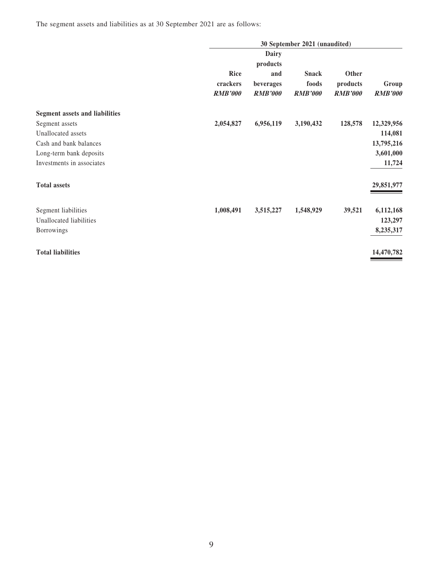The segment assets and liabilities as at 30 September 2021 are as follows:

|                                       |                                           |                                                | 30 September 2021 (unaudited)           |                                     |                         |
|---------------------------------------|-------------------------------------------|------------------------------------------------|-----------------------------------------|-------------------------------------|-------------------------|
|                                       |                                           | Dairy                                          |                                         |                                     |                         |
|                                       | <b>Rice</b><br>crackers<br><b>RMB'000</b> | products<br>and<br>beverages<br><b>RMB'000</b> | <b>Snack</b><br>foods<br><b>RMB'000</b> | Other<br>products<br><b>RMB'000</b> | Group<br><b>RMB'000</b> |
| <b>Segment assets and liabilities</b> |                                           |                                                |                                         |                                     |                         |
| Segment assets                        | 2,054,827                                 | 6,956,119                                      | 3,190,432                               | 128,578                             | 12,329,956              |
| Unallocated assets                    |                                           |                                                |                                         |                                     | 114,081                 |
| Cash and bank balances                |                                           |                                                |                                         |                                     | 13,795,216              |
| Long-term bank deposits               |                                           |                                                |                                         |                                     | 3,601,000               |
| Investments in associates             |                                           |                                                |                                         |                                     | 11,724                  |
| <b>Total assets</b>                   |                                           |                                                |                                         |                                     | 29,851,977              |
| Segment liabilities                   | 1,008,491                                 | 3,515,227                                      | 1,548,929                               | 39,521                              | 6,112,168               |
| Unallocated liabilities               |                                           |                                                |                                         |                                     | 123,297                 |
| <b>Borrowings</b>                     |                                           |                                                |                                         |                                     | 8,235,317               |
| <b>Total liabilities</b>              |                                           |                                                |                                         |                                     | 14,470,782              |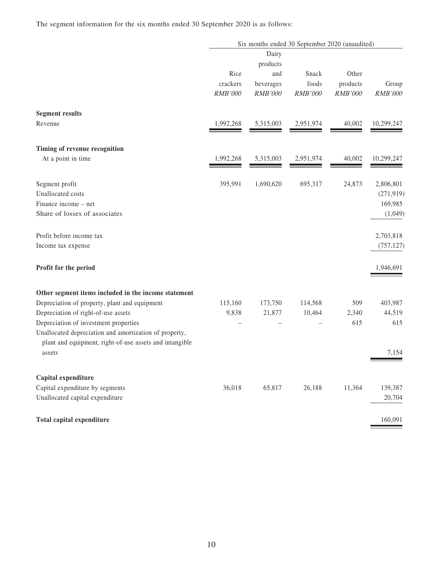The segment information for the six months ended 30 September 2020 is as follows:

|                                                                                                                   |           |           | Six months ended 30 September 2020 (unaudited) |          |                |
|-------------------------------------------------------------------------------------------------------------------|-----------|-----------|------------------------------------------------|----------|----------------|
|                                                                                                                   |           | Dairy     |                                                |          |                |
|                                                                                                                   |           | products  |                                                |          |                |
|                                                                                                                   | Rice      | and       | Snack                                          | Other    |                |
|                                                                                                                   | crackers  | beverages | foods                                          | products | Group          |
|                                                                                                                   | RMB'000   | RMB'000   | <b>RMB'000</b>                                 | RMB'000  | <b>RMB'000</b> |
| <b>Segment results</b>                                                                                            |           |           |                                                |          |                |
| Revenue                                                                                                           | 1,992,268 | 5,315,003 | 2,951,974                                      | 40,002   | 10,299,247     |
| Timing of revenue recognition                                                                                     |           |           |                                                |          |                |
| At a point in time                                                                                                | 1,992,268 | 5,315,003 | 2,951,974                                      | 40,002   | 10,299,247     |
| Segment profit                                                                                                    | 395,991   | 1,690,620 | 695,317                                        | 24,873   | 2,806,801      |
| Unallocated costs                                                                                                 |           |           |                                                |          | (271, 919)     |
| Finance income - net                                                                                              |           |           |                                                |          | 169,985        |
| Share of losses of associates                                                                                     |           |           |                                                |          | (1,049)        |
| Profit before income tax                                                                                          |           |           |                                                |          | 2,703,818      |
| Income tax expense                                                                                                |           |           |                                                |          | (757, 127)     |
| Profit for the period                                                                                             |           |           |                                                |          | 1,946,691      |
| Other segment items included in the income statement                                                              |           |           |                                                |          |                |
| Depreciation of property, plant and equipment                                                                     | 115,160   | 173,750   | 114,568                                        | 509      | 403,987        |
| Depreciation of right-of-use assets                                                                               | 9,838     | 21,877    | 10,464                                         | 2,340    | 44,519         |
| Depreciation of investment properties                                                                             |           |           |                                                | 615      | 615            |
| Unallocated depreciation and amortization of property,<br>plant and equipment, right-of-use assets and intangible |           |           |                                                |          |                |
| assets                                                                                                            |           |           |                                                |          | 7,154          |
| Capital expenditure                                                                                               |           |           |                                                |          |                |
| Capital expenditure by segments                                                                                   | 36,018    | 65,817    | 26,188                                         | 11,364   | 139,387        |
| Unallocated capital expenditure                                                                                   |           |           |                                                |          | 20,704         |
| Total capital expenditure                                                                                         |           |           |                                                |          | 160,091        |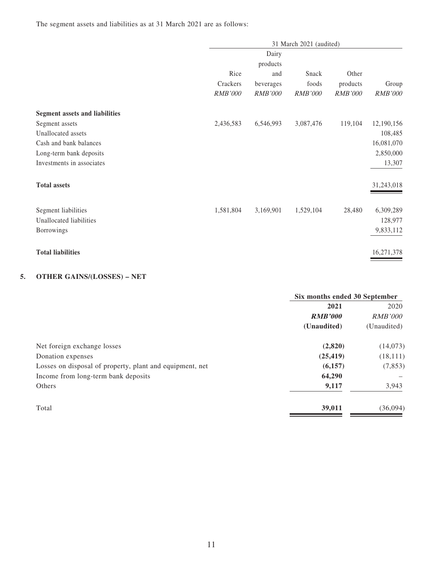The segment assets and liabilities as at 31 March 2021 are as follows:

|                                       |                |                | 31 March 2021 (audited) |                |                |
|---------------------------------------|----------------|----------------|-------------------------|----------------|----------------|
|                                       |                | Dairy          |                         |                |                |
|                                       |                | products       |                         |                |                |
|                                       | Rice           | and            | Snack                   | Other          |                |
|                                       | Crackers       | beverages      | foods                   | products       | Group          |
|                                       | <b>RMB'000</b> | <b>RMB'000</b> | <b>RMB'000</b>          | <b>RMB'000</b> | <b>RMB'000</b> |
| <b>Segment assets and liabilities</b> |                |                |                         |                |                |
| Segment assets                        | 2,436,583      | 6,546,993      | 3,087,476               | 119,104        | 12,190,156     |
| Unallocated assets                    |                |                |                         |                | 108,485        |
| Cash and bank balances                |                |                |                         |                | 16,081,070     |
| Long-term bank deposits               |                |                |                         |                | 2,850,000      |
| Investments in associates             |                |                |                         |                | 13,307         |
| <b>Total assets</b>                   |                |                |                         |                | 31,243,018     |
| Segment liabilities                   | 1,581,804      | 3,169,901      | 1,529,104               | 28,480         | 6,309,289      |
| Unallocated liabilities               |                |                |                         |                | 128,977        |
| Borrowings                            |                |                |                         |                | 9,833,112      |
| <b>Total liabilities</b>              |                |                |                         |                | 16,271,378     |

### **5. OTHER GAINS/(LOSSES) – NET**

|                                                          | Six months ended 30 September |                |  |
|----------------------------------------------------------|-------------------------------|----------------|--|
|                                                          | 2021                          | 2020           |  |
|                                                          | <b>RMB'000</b>                | <i>RMB'000</i> |  |
|                                                          | (Unaudited)                   | (Unaudited)    |  |
| Net foreign exchange losses                              | (2,820)                       | (14,073)       |  |
| Donation expenses                                        | (25, 419)                     | (18, 111)      |  |
| Losses on disposal of property, plant and equipment, net | (6,157)                       | (7, 853)       |  |
| Income from long-term bank deposits                      | 64,290                        |                |  |
| Others                                                   | 9,117                         | 3,943          |  |
| Total                                                    | 39,011                        | (36,094)       |  |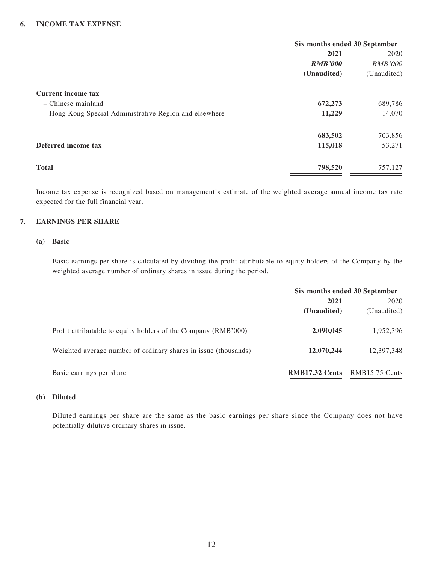|                                                         | Six months ended 30 September |                |  |
|---------------------------------------------------------|-------------------------------|----------------|--|
|                                                         | 2021                          | 2020           |  |
|                                                         | <b>RMB'000</b>                | <b>RMB'000</b> |  |
|                                                         | (Unaudited)                   | (Unaudited)    |  |
| <b>Current income tax</b>                               |                               |                |  |
| $-$ Chinese mainland                                    | 672,273                       | 689,786        |  |
| - Hong Kong Special Administrative Region and elsewhere | 11,229                        | 14,070         |  |
|                                                         | 683,502                       | 703,856        |  |
| Deferred income tax                                     | 115,018                       | 53,271         |  |
| <b>Total</b>                                            | 798,520                       | 757,127        |  |

Income tax expense is recognized based on management's estimate of the weighted average annual income tax rate expected for the full financial year.

#### **7. EARNINGS PER SHARE**

#### **(a) Basic**

Basic earnings per share is calculated by dividing the profit attributable to equity holders of the Company by the weighted average number of ordinary shares in issue during the period.

|                                                                 | Six months ended 30 September |                |  |
|-----------------------------------------------------------------|-------------------------------|----------------|--|
|                                                                 | 2021                          | 2020           |  |
|                                                                 | (Unaudited)                   | (Unaudited)    |  |
| Profit attributable to equity holders of the Company (RMB'000)  | 2,090,045                     | 1,952,396      |  |
| Weighted average number of ordinary shares in issue (thousands) | 12,070,244                    | 12,397,348     |  |
| Basic earnings per share                                        | <b>RMB17.32 Cents</b>         | RMB15.75 Cents |  |

#### **(b) Diluted**

Diluted earnings per share are the same as the basic earnings per share since the Company does not have potentially dilutive ordinary shares in issue.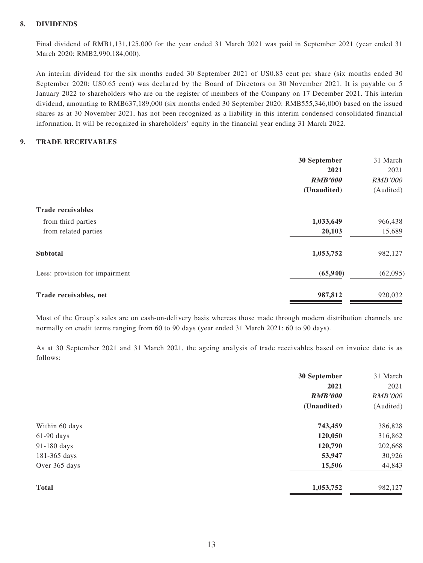#### **8. DIVIDENDS**

Final dividend of RMB1,131,125,000 for the year ended 31 March 2021 was paid in September 2021 (year ended 31 March 2020: RMB2,990,184,000).

An interim dividend for the six months ended 30 September 2021 of US0.83 cent per share (six months ended 30 September 2020: US0.65 cent) was declared by the Board of Directors on 30 November 2021. It is payable on 5 January 2022 to shareholders who are on the register of members of the Company on 17 December 2021. This interim dividend, amounting to RMB637,189,000 (six months ended 30 September 2020: RMB555,346,000) based on the issued shares as at 30 November 2021, has not been recognized as a liability in this interim condensed consolidated financial information. It will be recognized in shareholders' equity in the financial year ending 31 March 2022.

#### **9. TRADE RECEIVABLES**

|                                | 30 September   | 31 March       |
|--------------------------------|----------------|----------------|
|                                | 2021           | 2021           |
|                                | <b>RMB'000</b> | <b>RMB'000</b> |
|                                | (Unaudited)    | (Audited)      |
| <b>Trade receivables</b>       |                |                |
| from third parties             | 1,033,649      | 966,438        |
| from related parties           | 20,103         | 15,689         |
| <b>Subtotal</b>                | 1,053,752      | 982,127        |
| Less: provision for impairment | (65, 940)      | (62,095)       |
| Trade receivables, net         | 987,812        | 920,032        |

Most of the Group's sales are on cash-on-delivery basis whereas those made through modern distribution channels are normally on credit terms ranging from 60 to 90 days (year ended 31 March 2021: 60 to 90 days).

As at 30 September 2021 and 31 March 2021, the ageing analysis of trade receivables based on invoice date is as follows:

|                | 30 September   | 31 March       |
|----------------|----------------|----------------|
|                | 2021           | 2021           |
|                | <b>RMB'000</b> | <b>RMB'000</b> |
|                | (Unaudited)    | (Audited)      |
| Within 60 days | 743,459        | 386,828        |
| $61-90$ days   | 120,050        | 316,862        |
| 91-180 days    | 120,790        | 202,668        |
| 181-365 days   | 53,947         | 30,926         |
| Over 365 days  | 15,506         | 44,843         |
| <b>Total</b>   | 1,053,752      | 982,127        |
|                |                |                |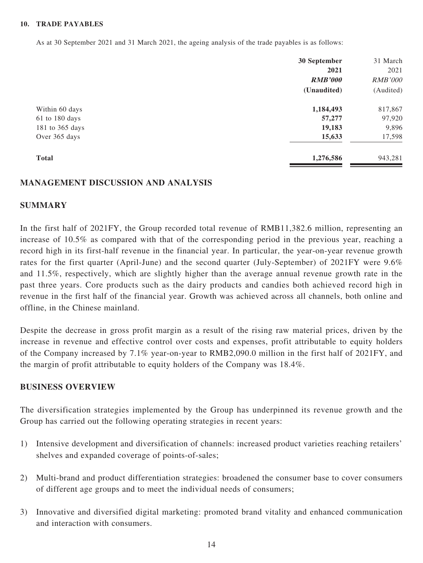#### **10. TRADE PAYABLES**

As at 30 September 2021 and 31 March 2021, the ageing analysis of the trade payables is as follows:

|                    | 30 September   | 31 March       |
|--------------------|----------------|----------------|
|                    | 2021           | 2021           |
|                    | <b>RMB'000</b> | <b>RMB'000</b> |
|                    | (Unaudited)    | (Audited)      |
| Within 60 days     | 1,184,493      | 817,867        |
| $61$ to $180$ days | 57,277         | 97,920         |
| 181 to 365 days    | 19,183         | 9,896          |
| Over 365 days      | 15,633         | 17,598         |
| <b>Total</b>       | 1,276,586      | 943,281        |

#### **MANAGEMENT DISCUSSION AND ANALYSIS**

#### **SUMMARY**

In the first half of 2021FY, the Group recorded total revenue of RMB11,382.6 million, representing an increase of 10.5% as compared with that of the corresponding period in the previous year, reaching a record high in its first-half revenue in the financial year. In particular, the year-on-year revenue growth rates for the first quarter (April-June) and the second quarter (July-September) of 2021FY were 9.6% and 11.5%, respectively, which are slightly higher than the average annual revenue growth rate in the past three years. Core products such as the dairy products and candies both achieved record high in revenue in the first half of the financial year. Growth was achieved across all channels, both online and offline, in the Chinese mainland.

Despite the decrease in gross profit margin as a result of the rising raw material prices, driven by the increase in revenue and effective control over costs and expenses, profit attributable to equity holders of the Company increased by 7.1% year-on-year to RMB2,090.0 million in the first half of 2021FY, and the margin of profit attributable to equity holders of the Company was 18.4%.

#### **BUSINESS OVERVIEW**

The diversification strategies implemented by the Group has underpinned its revenue growth and the Group has carried out the following operating strategies in recent years:

- 1) Intensive development and diversification of channels: increased product varieties reaching retailers' shelves and expanded coverage of points-of-sales;
- 2) Multi-brand and product differentiation strategies: broadened the consumer base to cover consumers of different age groups and to meet the individual needs of consumers;
- 3) Innovative and diversified digital marketing: promoted brand vitality and enhanced communication and interaction with consumers.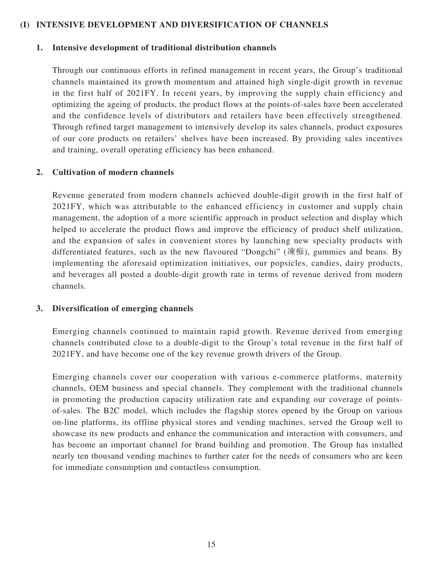#### **(I) INTENSIVE DEVELOPMENT AND DIVERSIFICATION OF CHANNELS**

#### **1. Intensive development of traditional distribution channels**

Through our continuous efforts in refined management in recent years, the Group's traditional channels maintained its growth momentum and attained high single-digit growth in revenue in the first half of 2021FY. In recent years, by improving the supply chain efficiency and optimizing the ageing of products, the product flows at the points-of-sales have been accelerated and the confidence levels of distributors and retailers have been effectively strengthened. Through refined target management to intensively develop its sales channels, product exposures of our core products on retailers' shelves have been increased. By providing sales incentives and training, overall operating efficiency has been enhanced.

#### **2. Cultivation of modern channels**

Revenue generated from modern channels achieved double-digit growth in the first half of 2021FY, which was attributable to the enhanced efficiency in customer and supply chain management, the adoption of a more scientific approach in product selection and display which helped to accelerate the product flows and improve the efficiency of product shelf utilization, and the expansion of sales in convenient stores by launching new specialty products with differentiated features, such as the new flavoured "Dongchi" (凍痴), gummies and beans. By implementing the aforesaid optimization initiatives, our popsicles, candies, dairy products, and beverages all posted a double-digit growth rate in terms of revenue derived from modern channels.

#### **3. Diversification of emerging channels**

Emerging channels continued to maintain rapid growth. Revenue derived from emerging channels contributed close to a double-digit to the Group's total revenue in the first half of 2021FY, and have become one of the key revenue growth drivers of the Group.

Emerging channels cover our cooperation with various e-commerce platforms, maternity channels, OEM business and special channels. They complement with the traditional channels in promoting the production capacity utilization rate and expanding our coverage of pointsof-sales. The B2C model, which includes the flagship stores opened by the Group on various on-line platforms, its offline physical stores and vending machines, served the Group well to showcase its new products and enhance the communication and interaction with consumers, and has become an important channel for brand building and promotion. The Group has installed nearly ten thousand vending machines to further cater for the needs of consumers who are keen for immediate consumption and contactless consumption.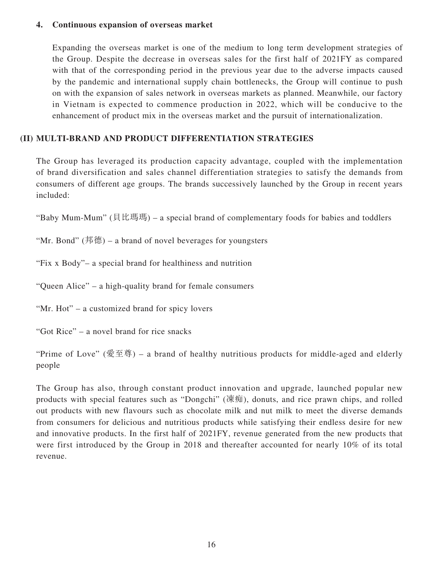#### **4. Continuous expansion of overseas market**

Expanding the overseas market is one of the medium to long term development strategies of the Group. Despite the decrease in overseas sales for the first half of 2021FY as compared with that of the corresponding period in the previous year due to the adverse impacts caused by the pandemic and international supply chain bottlenecks, the Group will continue to push on with the expansion of sales network in overseas markets as planned. Meanwhile, our factory in Vietnam is expected to commence production in 2022, which will be conducive to the enhancement of product mix in the overseas market and the pursuit of internationalization.

### **(II) MULTI-BRAND AND PRODUCT DIFFERENTIATION STRATEGIES**

The Group has leveraged its production capacity advantage, coupled with the implementation of brand diversification and sales channel differentiation strategies to satisfy the demands from consumers of different age groups. The brands successively launched by the Group in recent years included:

"Baby Mum-Mum" (貝比瑪瑪) – a special brand of complementary foods for babies and toddlers

"Mr. Bond" (邦德) – a brand of novel beverages for youngsters

"Fix x Body"– a special brand for healthiness and nutrition

"Queen Alice" – a high-quality brand for female consumers

"Mr. Hot" – a customized brand for spicy lovers

"Got Rice" – a novel brand for rice snacks

"Prime of Love" (愛至尊) – a brand of healthy nutritious products for middle-aged and elderly people

The Group has also, through constant product innovation and upgrade, launched popular new products with special features such as "Dongchi" (凍痴), donuts, and rice prawn chips, and rolled out products with new flavours such as chocolate milk and nut milk to meet the diverse demands from consumers for delicious and nutritious products while satisfying their endless desire for new and innovative products. In the first half of 2021FY, revenue generated from the new products that were first introduced by the Group in 2018 and thereafter accounted for nearly 10% of its total revenue.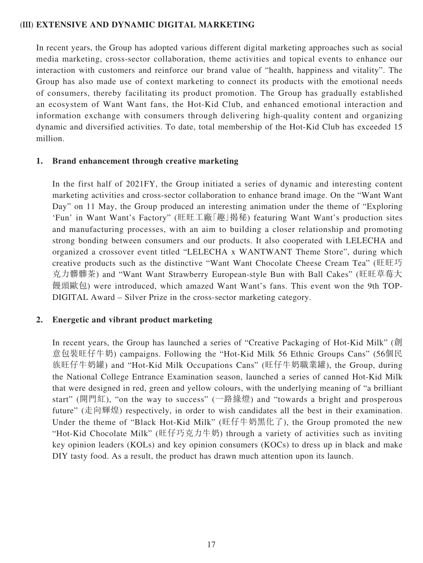#### **(III) EXTENSIVE AND DYNAMIC DIGITAL MARKETING**

In recent years, the Group has adopted various different digital marketing approaches such as social media marketing, cross-sector collaboration, theme activities and topical events to enhance our interaction with customers and reinforce our brand value of "health, happiness and vitality". The Group has also made use of context marketing to connect its products with the emotional needs of consumers, thereby facilitating its product promotion. The Group has gradually established an ecosystem of Want Want fans, the Hot-Kid Club, and enhanced emotional interaction and information exchange with consumers through delivering high-quality content and organizing dynamic and diversified activities. To date, total membership of the Hot-Kid Club has exceeded 15 million.

#### **1. Brand enhancement through creative marketing**

In the first half of 2021FY, the Group initiated a series of dynamic and interesting content marketing activities and cross-sector collaboration to enhance brand image. On the "Want Want Day" on 11 May, the Group produced an interesting animation under the theme of "Exploring 'Fun' in Want Want's Factory" (旺旺工廠「趣」揭秘) featuring Want Want's production sites and manufacturing processes, with an aim to building a closer relationship and promoting strong bonding between consumers and our products. It also cooperated with LELECHA and organized a crossover event titled "LELECHA x WANTWANT Theme Store", during which creative products such as the distinctive "Want Want Chocolate Cheese Cream Tea" (旺旺巧 克力髒髒茶) and "Want Want Strawberry European-style Bun with Ball Cakes" (旺旺草莓大 饅頭歐包) were introduced, which amazed Want Want's fans. This event won the 9th TOP-DIGITAL Award – Silver Prize in the cross-sector marketing category.

#### **2. Energetic and vibrant product marketing**

In recent years, the Group has launched a series of "Creative Packaging of Hot-Kid Milk" (創 意包裝旺仔牛奶) campaigns. Following the "Hot-Kid Milk 56 Ethnic Groups Cans" (56個民 族旺仔牛奶罐) and "Hot-Kid Milk Occupations Cans" (旺仔牛奶職業罐), the Group, during the National College Entrance Examination season, launched a series of canned Hot-Kid Milk that were designed in red, green and yellow colours, with the underlying meaning of "a brilliant start" (開門紅), "on the way to success" (一路綠燈) and "towards a bright and prosperous future" (走向輝煌) respectively, in order to wish candidates all the best in their examination. Under the theme of "Black Hot-Kid Milk" (旺仔牛奶黑化了), the Group promoted the new "Hot-Kid Chocolate Milk" (旺仔巧克力牛奶) through a variety of activities such as inviting key opinion leaders (KOLs) and key opinion consumers (KOCs) to dress up in black and make DIY tasty food. As a result, the product has drawn much attention upon its launch.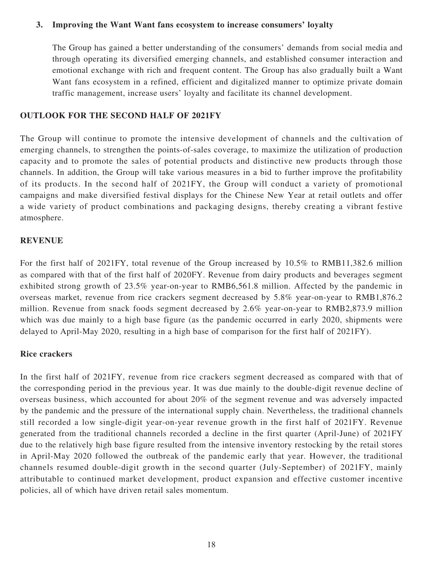#### **3. Improving the Want Want fans ecosystem to increase consumers' loyalty**

The Group has gained a better understanding of the consumers' demands from social media and through operating its diversified emerging channels, and established consumer interaction and emotional exchange with rich and frequent content. The Group has also gradually built a Want Want fans ecosystem in a refined, efficient and digitalized manner to optimize private domain traffic management, increase users' loyalty and facilitate its channel development.

#### **OUTLOOK FOR THE SECOND HALF OF 2021FY**

The Group will continue to promote the intensive development of channels and the cultivation of emerging channels, to strengthen the points-of-sales coverage, to maximize the utilization of production capacity and to promote the sales of potential products and distinctive new products through those channels. In addition, the Group will take various measures in a bid to further improve the profitability of its products. In the second half of 2021FY, the Group will conduct a variety of promotional campaigns and make diversified festival displays for the Chinese New Year at retail outlets and offer a wide variety of product combinations and packaging designs, thereby creating a vibrant festive atmosphere.

#### **REVENUE**

For the first half of 2021FY, total revenue of the Group increased by 10.5% to RMB11,382.6 million as compared with that of the first half of 2020FY. Revenue from dairy products and beverages segment exhibited strong growth of 23.5% year-on-year to RMB6,561.8 million. Affected by the pandemic in overseas market, revenue from rice crackers segment decreased by 5.8% year-on-year to RMB1,876.2 million. Revenue from snack foods segment decreased by 2.6% year-on-year to RMB2,873.9 million which was due mainly to a high base figure (as the pandemic occurred in early 2020, shipments were delayed to April-May 2020, resulting in a high base of comparison for the first half of 2021FY).

#### **Rice crackers**

In the first half of 2021FY, revenue from rice crackers segment decreased as compared with that of the corresponding period in the previous year. It was due mainly to the double-digit revenue decline of overseas business, which accounted for about 20% of the segment revenue and was adversely impacted by the pandemic and the pressure of the international supply chain. Nevertheless, the traditional channels still recorded a low single-digit year-on-year revenue growth in the first half of 2021FY. Revenue generated from the traditional channels recorded a decline in the first quarter (April-June) of 2021FY due to the relatively high base figure resulted from the intensive inventory restocking by the retail stores in April-May 2020 followed the outbreak of the pandemic early that year. However, the traditional channels resumed double-digit growth in the second quarter (July-September) of 2021FY, mainly attributable to continued market development, product expansion and effective customer incentive policies, all of which have driven retail sales momentum.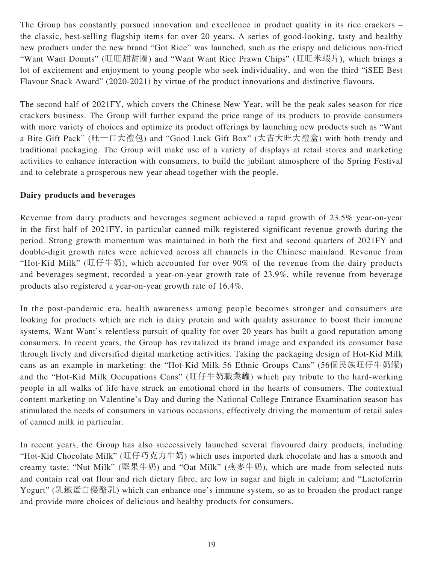The Group has constantly pursued innovation and excellence in product quality in its rice crackers – the classic, best-selling flagship items for over 20 years. A series of good-looking, tasty and healthy new products under the new brand "Got Rice" was launched, such as the crispy and delicious non-fried "Want Want Donuts" (旺旺甜甜圈) and "Want Want Rice Prawn Chips" (旺旺米蝦片), which brings a lot of excitement and enjoyment to young people who seek individuality, and won the third "iSEE Best Flavour Snack Award" (2020-2021) by virtue of the product innovations and distinctive flavours.

The second half of 2021FY, which covers the Chinese New Year, will be the peak sales season for rice crackers business. The Group will further expand the price range of its products to provide consumers with more variety of choices and optimize its product offerings by launching new products such as "Want a Bite Gift Pack" (旺一口大禮包) and "Good Luck Gift Box" (大吉大旺大禮盒) with both trendy and traditional packaging. The Group will make use of a variety of displays at retail stores and marketing activities to enhance interaction with consumers, to build the jubilant atmosphere of the Spring Festival and to celebrate a prosperous new year ahead together with the people.

#### **Dairy products and beverages**

Revenue from dairy products and beverages segment achieved a rapid growth of 23.5% year-on-year in the first half of 2021FY, in particular canned milk registered significant revenue growth during the period. Strong growth momentum was maintained in both the first and second quarters of 2021FY and double-digit growth rates were achieved across all channels in the Chinese mainland. Revenue from "Hot-Kid Milk" (旺仔牛奶), which accounted for over 90% of the revenue from the dairy products and beverages segment, recorded a year-on-year growth rate of 23.9%, while revenue from beverage products also registered a year-on-year growth rate of 16.4%.

In the post-pandemic era, health awareness among people becomes stronger and consumers are looking for products which are rich in dairy protein and with quality assurance to boost their immune systems. Want Want's relentless pursuit of quality for over 20 years has built a good reputation among consumers. In recent years, the Group has revitalized its brand image and expanded its consumer base through lively and diversified digital marketing activities. Taking the packaging design of Hot-Kid Milk cans as an example in marketing: the "Hot-Kid Milk 56 Ethnic Groups Cans" (56個民族旺仔牛奶罐) and the "Hot-Kid Milk Occupations Cans" (旺仔牛奶職業罐) which pay tribute to the hard-working people in all walks of life have struck an emotional chord in the hearts of consumers. The contextual content marketing on Valentine's Day and during the National College Entrance Examination season has stimulated the needs of consumers in various occasions, effectively driving the momentum of retail sales of canned milk in particular.

In recent years, the Group has also successively launched several flavoured dairy products, including "Hot-Kid Chocolate Milk" (旺仔巧克力牛奶) which uses imported dark chocolate and has a smooth and creamy taste; "Nut Milk" (堅果牛奶) and "Oat Milk" (燕麥牛奶), which are made from selected nuts and contain real oat flour and rich dietary fibre, are low in sugar and high in calcium; and "Lactoferrin Yogurt" (乳鐵蛋白優酪乳) which can enhance one's immune system, so as to broaden the product range and provide more choices of delicious and healthy products for consumers.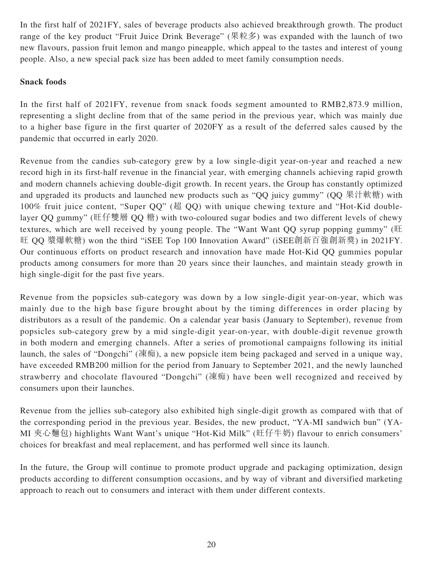In the first half of 2021FY, sales of beverage products also achieved breakthrough growth. The product range of the key product "Fruit Juice Drink Beverage" (果粒多) was expanded with the launch of two new flavours, passion fruit lemon and mango pineapple, which appeal to the tastes and interest of young people. Also, a new special pack size has been added to meet family consumption needs.

### **Snack foods**

In the first half of 2021FY, revenue from snack foods segment amounted to RMB2,873.9 million, representing a slight decline from that of the same period in the previous year, which was mainly due to a higher base figure in the first quarter of 2020FY as a result of the deferred sales caused by the pandemic that occurred in early 2020.

Revenue from the candies sub-category grew by a low single-digit year-on-year and reached a new record high in its first-half revenue in the financial year, with emerging channels achieving rapid growth and modern channels achieving double-digit growth. In recent years, the Group has constantly optimized and upgraded its products and launched new products such as "QQ juicy gummy" ( $\overline{QQ}$  果汁軟糖) with 100% fruit juice content, "Super QQ" (超 QQ) with unique chewing texture and "Hot-Kid doublelayer QQ gummy" (旺仔雙層 QQ 糖) with two-coloured sugar bodies and two different levels of chewy textures, which are well received by young people. The "Want Want QQ syrup popping gummy" (旺 旺 QQ 漿爆軟糖) won the third "iSEE Top 100 Innovation Award" (iSEE創新百強創新獎) in 2021FY. Our continuous efforts on product research and innovation have made Hot-Kid QQ gummies popular products among consumers for more than 20 years since their launches, and maintain steady growth in high single-digit for the past five years.

Revenue from the popsicles sub-category was down by a low single-digit year-on-year, which was mainly due to the high base figure brought about by the timing differences in order placing by distributors as a result of the pandemic. On a calendar year basis (January to September), revenue from popsicles sub-category grew by a mid single-digit year-on-year, with double-digit revenue growth in both modern and emerging channels. After a series of promotional campaigns following its initial launch, the sales of "Dongchi" (凍痴), a new popsicle item being packaged and served in a unique way, have exceeded RMB200 million for the period from January to September 2021, and the newly launched strawberry and chocolate flavoured "Dongchi" (凍痴) have been well recognized and received by consumers upon their launches.

Revenue from the jellies sub-category also exhibited high single-digit growth as compared with that of the corresponding period in the previous year. Besides, the new product, "YA-MI sandwich bun" (YA-MI 夾心麵包) highlights Want Want's unique "Hot-Kid Milk" (旺仔牛奶) flavour to enrich consumers' choices for breakfast and meal replacement, and has performed well since its launch.

In the future, the Group will continue to promote product upgrade and packaging optimization, design products according to different consumption occasions, and by way of vibrant and diversified marketing approach to reach out to consumers and interact with them under different contexts.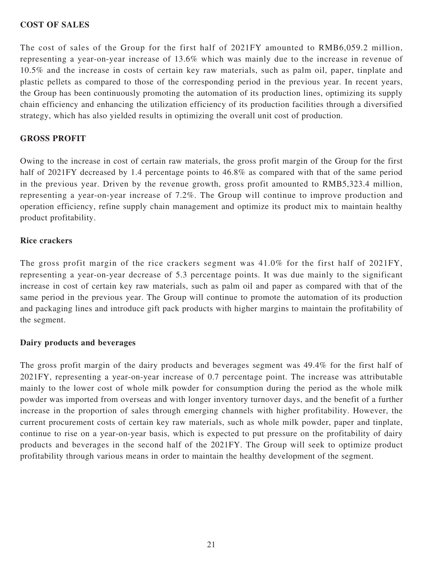#### **COST OF SALES**

The cost of sales of the Group for the first half of 2021FY amounted to RMB6,059.2 million, representing a year-on-year increase of 13.6% which was mainly due to the increase in revenue of 10.5% and the increase in costs of certain key raw materials, such as palm oil, paper, tinplate and plastic pellets as compared to those of the corresponding period in the previous year. In recent years, the Group has been continuously promoting the automation of its production lines, optimizing its supply chain efficiency and enhancing the utilization efficiency of its production facilities through a diversified strategy, which has also yielded results in optimizing the overall unit cost of production.

#### **GROSS PROFIT**

Owing to the increase in cost of certain raw materials, the gross profit margin of the Group for the first half of 2021FY decreased by 1.4 percentage points to 46.8% as compared with that of the same period in the previous year. Driven by the revenue growth, gross profit amounted to RMB5,323.4 million, representing a year-on-year increase of 7.2%. The Group will continue to improve production and operation efficiency, refine supply chain management and optimize its product mix to maintain healthy product profitability.

#### **Rice crackers**

The gross profit margin of the rice crackers segment was 41.0% for the first half of 2021FY, representing a year-on-year decrease of 5.3 percentage points. It was due mainly to the significant increase in cost of certain key raw materials, such as palm oil and paper as compared with that of the same period in the previous year. The Group will continue to promote the automation of its production and packaging lines and introduce gift pack products with higher margins to maintain the profitability of the segment.

#### **Dairy products and beverages**

The gross profit margin of the dairy products and beverages segment was 49.4% for the first half of 2021FY, representing a year-on-year increase of 0.7 percentage point. The increase was attributable mainly to the lower cost of whole milk powder for consumption during the period as the whole milk powder was imported from overseas and with longer inventory turnover days, and the benefit of a further increase in the proportion of sales through emerging channels with higher profitability. However, the current procurement costs of certain key raw materials, such as whole milk powder, paper and tinplate, continue to rise on a year-on-year basis, which is expected to put pressure on the profitability of dairy products and beverages in the second half of the 2021FY. The Group will seek to optimize product profitability through various means in order to maintain the healthy development of the segment.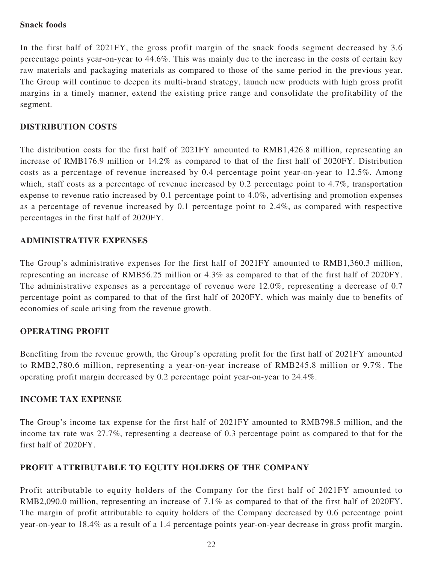#### **Snack foods**

In the first half of 2021FY, the gross profit margin of the snack foods segment decreased by 3.6 percentage points year-on-year to 44.6%. This was mainly due to the increase in the costs of certain key raw materials and packaging materials as compared to those of the same period in the previous year. The Group will continue to deepen its multi-brand strategy, launch new products with high gross profit margins in a timely manner, extend the existing price range and consolidate the profitability of the segment.

### **DISTRIBUTION COSTS**

The distribution costs for the first half of 2021FY amounted to RMB1,426.8 million, representing an increase of RMB176.9 million or 14.2% as compared to that of the first half of 2020FY. Distribution costs as a percentage of revenue increased by 0.4 percentage point year-on-year to 12.5%. Among which, staff costs as a percentage of revenue increased by 0.2 percentage point to 4.7%, transportation expense to revenue ratio increased by 0.1 percentage point to 4.0%, advertising and promotion expenses as a percentage of revenue increased by 0.1 percentage point to 2.4%, as compared with respective percentages in the first half of 2020FY.

#### **ADMINISTRATIVE EXPENSES**

The Group's administrative expenses for the first half of 2021FY amounted to RMB1,360.3 million, representing an increase of RMB56.25 million or 4.3% as compared to that of the first half of 2020FY. The administrative expenses as a percentage of revenue were 12.0%, representing a decrease of 0.7 percentage point as compared to that of the first half of 2020FY, which was mainly due to benefits of economies of scale arising from the revenue growth.

#### **OPERATING PROFIT**

Benefiting from the revenue growth, the Group's operating profit for the first half of 2021FY amounted to RMB2,780.6 million, representing a year-on-year increase of RMB245.8 million or 9.7%. The operating profit margin decreased by 0.2 percentage point year-on-year to 24.4%.

#### **INCOME TAX EXPENSE**

The Group's income tax expense for the first half of 2021FY amounted to RMB798.5 million, and the income tax rate was 27.7%, representing a decrease of 0.3 percentage point as compared to that for the first half of 2020FY.

#### **PROFIT ATTRIBUTABLE TO EQUITY HOLDERS OF THE COMPANY**

Profit attributable to equity holders of the Company for the first half of 2021FY amounted to RMB2,090.0 million, representing an increase of 7.1% as compared to that of the first half of 2020FY. The margin of profit attributable to equity holders of the Company decreased by 0.6 percentage point year-on-year to 18.4% as a result of a 1.4 percentage points year-on-year decrease in gross profit margin.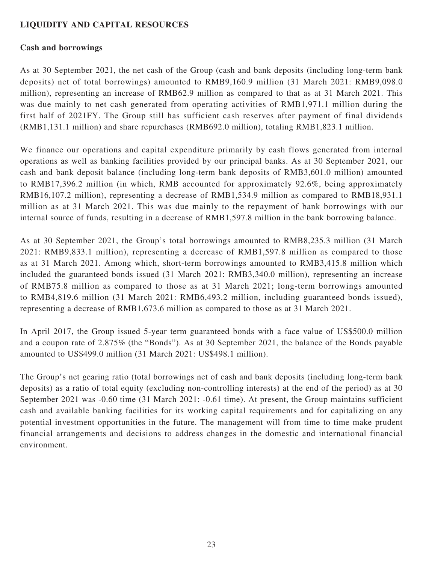### **LIQUIDITY AND CAPITAL RESOURCES**

#### **Cash and borrowings**

As at 30 September 2021, the net cash of the Group (cash and bank deposits (including long-term bank deposits) net of total borrowings) amounted to RMB9,160.9 million (31 March 2021: RMB9,098.0 million), representing an increase of RMB62.9 million as compared to that as at 31 March 2021. This was due mainly to net cash generated from operating activities of RMB1,971.1 million during the first half of 2021FY. The Group still has sufficient cash reserves after payment of final dividends (RMB1,131.1 million) and share repurchases (RMB692.0 million), totaling RMB1,823.1 million.

We finance our operations and capital expenditure primarily by cash flows generated from internal operations as well as banking facilities provided by our principal banks. As at 30 September 2021, our cash and bank deposit balance (including long-term bank deposits of RMB3,601.0 million) amounted to RMB17,396.2 million (in which, RMB accounted for approximately 92.6%, being approximately RMB16,107.2 million), representing a decrease of RMB1,534.9 million as compared to RMB18,931.1 million as at 31 March 2021. This was due mainly to the repayment of bank borrowings with our internal source of funds, resulting in a decrease of RMB1,597.8 million in the bank borrowing balance.

As at 30 September 2021, the Group's total borrowings amounted to RMB8,235.3 million (31 March 2021: RMB9,833.1 million), representing a decrease of RMB1,597.8 million as compared to those as at 31 March 2021. Among which, short-term borrowings amounted to RMB3,415.8 million which included the guaranteed bonds issued (31 March 2021: RMB3,340.0 million), representing an increase of RMB75.8 million as compared to those as at 31 March 2021; long-term borrowings amounted to RMB4,819.6 million (31 March 2021: RMB6,493.2 million, including guaranteed bonds issued), representing a decrease of RMB1,673.6 million as compared to those as at 31 March 2021.

In April 2017, the Group issued 5-year term guaranteed bonds with a face value of US\$500.0 million and a coupon rate of 2.875% (the "Bonds"). As at 30 September 2021, the balance of the Bonds payable amounted to US\$499.0 million (31 March 2021: US\$498.1 million).

The Group's net gearing ratio (total borrowings net of cash and bank deposits (including long-term bank deposits) as a ratio of total equity (excluding non-controlling interests) at the end of the period) as at 30 September 2021 was -0.60 time (31 March 2021: -0.61 time). At present, the Group maintains sufficient cash and available banking facilities for its working capital requirements and for capitalizing on any potential investment opportunities in the future. The management will from time to time make prudent financial arrangements and decisions to address changes in the domestic and international financial environment.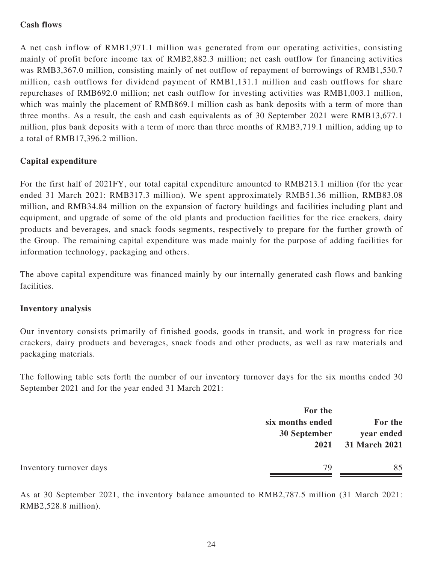### **Cash flows**

A net cash inflow of RMB1,971.1 million was generated from our operating activities, consisting mainly of profit before income tax of RMB2,882.3 million; net cash outflow for financing activities was RMB3,367.0 million, consisting mainly of net outflow of repayment of borrowings of RMB1,530.7 million, cash outflows for dividend payment of RMB1,131.1 million and cash outflows for share repurchases of RMB692.0 million; net cash outflow for investing activities was RMB1,003.1 million, which was mainly the placement of RMB869.1 million cash as bank deposits with a term of more than three months. As a result, the cash and cash equivalents as of 30 September 2021 were RMB13,677.1 million, plus bank deposits with a term of more than three months of RMB3,719.1 million, adding up to a total of RMB17,396.2 million.

### **Capital expenditure**

For the first half of 2021FY, our total capital expenditure amounted to RMB213.1 million (for the year ended 31 March 2021: RMB317.3 million). We spent approximately RMB51.36 million, RMB83.08 million, and RMB34.84 million on the expansion of factory buildings and facilities including plant and equipment, and upgrade of some of the old plants and production facilities for the rice crackers, dairy products and beverages, and snack foods segments, respectively to prepare for the further growth of the Group. The remaining capital expenditure was made mainly for the purpose of adding facilities for information technology, packaging and others.

The above capital expenditure was financed mainly by our internally generated cash flows and banking facilities.

#### **Inventory analysis**

Our inventory consists primarily of finished goods, goods in transit, and work in progress for rice crackers, dairy products and beverages, snack foods and other products, as well as raw materials and packaging materials.

The following table sets forth the number of our inventory turnover days for the six months ended 30 September 2021 and for the year ended 31 March 2021:

|                         | For the<br>six months ended<br>30 September | For the<br>year ended |
|-------------------------|---------------------------------------------|-----------------------|
|                         | 2021                                        | 31 March 2021         |
| Inventory turnover days | 79                                          | 85                    |

As at 30 September 2021, the inventory balance amounted to RMB2,787.5 million (31 March 2021: RMB2,528.8 million).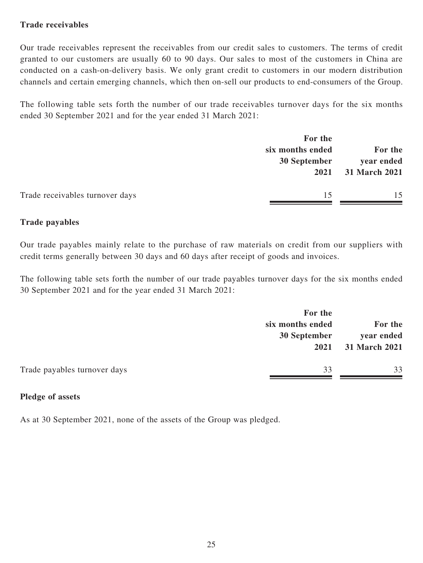### **Trade receivables**

Our trade receivables represent the receivables from our credit sales to customers. The terms of credit granted to our customers are usually 60 to 90 days. Our sales to most of the customers in China are conducted on a cash-on-delivery basis. We only grant credit to customers in our modern distribution channels and certain emerging channels, which then on-sell our products to end-consumers of the Group.

The following table sets forth the number of our trade receivables turnover days for the six months ended 30 September 2021 and for the year ended 31 March 2021:

|                                 | For the                          |    |      |                                        |
|---------------------------------|----------------------------------|----|------|----------------------------------------|
|                                 | six months ended<br>30 September |    | 2021 | For the<br>year ended<br>31 March 2021 |
| Trade receivables turnover days | 15                               | 15 |      |                                        |

#### **Trade payables**

Our trade payables mainly relate to the purchase of raw materials on credit from our suppliers with credit terms generally between 30 days and 60 days after receipt of goods and invoices.

The following table sets forth the number of our trade payables turnover days for the six months ended 30 September 2021 and for the year ended 31 March 2021:

|                              | For the<br>six months ended<br>30 September<br>2021 |    |
|------------------------------|-----------------------------------------------------|----|
| Trade payables turnover days | 33                                                  | 33 |

#### **Pledge of assets**

As at 30 September 2021, none of the assets of the Group was pledged.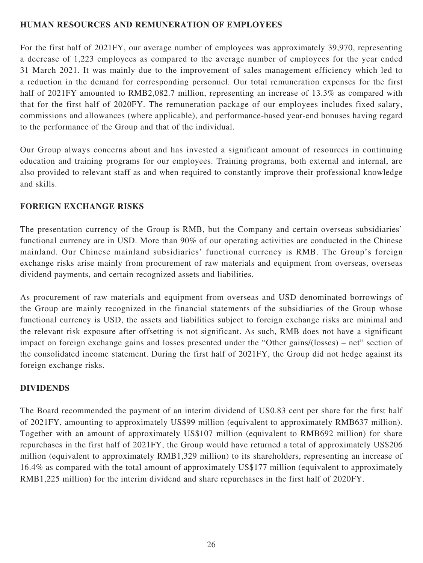### **HUMAN RESOURCES AND REMUNERATION OF EMPLOYEES**

For the first half of 2021FY, our average number of employees was approximately 39,970, representing a decrease of 1,223 employees as compared to the average number of employees for the year ended 31 March 2021. It was mainly due to the improvement of sales management efficiency which led to a reduction in the demand for corresponding personnel. Our total remuneration expenses for the first half of 2021FY amounted to RMB2,082.7 million, representing an increase of 13.3% as compared with that for the first half of 2020FY. The remuneration package of our employees includes fixed salary, commissions and allowances (where applicable), and performance-based year-end bonuses having regard to the performance of the Group and that of the individual.

Our Group always concerns about and has invested a significant amount of resources in continuing education and training programs for our employees. Training programs, both external and internal, are also provided to relevant staff as and when required to constantly improve their professional knowledge and skills.

### **FOREIGN EXCHANGE RISKS**

The presentation currency of the Group is RMB, but the Company and certain overseas subsidiaries' functional currency are in USD. More than 90% of our operating activities are conducted in the Chinese mainland. Our Chinese mainland subsidiaries' functional currency is RMB. The Group's foreign exchange risks arise mainly from procurement of raw materials and equipment from overseas, overseas dividend payments, and certain recognized assets and liabilities.

As procurement of raw materials and equipment from overseas and USD denominated borrowings of the Group are mainly recognized in the financial statements of the subsidiaries of the Group whose functional currency is USD, the assets and liabilities subject to foreign exchange risks are minimal and the relevant risk exposure after offsetting is not significant. As such, RMB does not have a significant impact on foreign exchange gains and losses presented under the "Other gains/(losses) – net" section of the consolidated income statement. During the first half of 2021FY, the Group did not hedge against its foreign exchange risks.

#### **DIVIDENDS**

The Board recommended the payment of an interim dividend of US0.83 cent per share for the first half of 2021FY, amounting to approximately US\$99 million (equivalent to approximately RMB637 million). Together with an amount of approximately US\$107 million (equivalent to RMB692 million) for share repurchases in the first half of 2021FY, the Group would have returned a total of approximately US\$206 million (equivalent to approximately RMB1,329 million) to its shareholders, representing an increase of 16.4% as compared with the total amount of approximately US\$177 million (equivalent to approximately RMB1,225 million) for the interim dividend and share repurchases in the first half of 2020FY.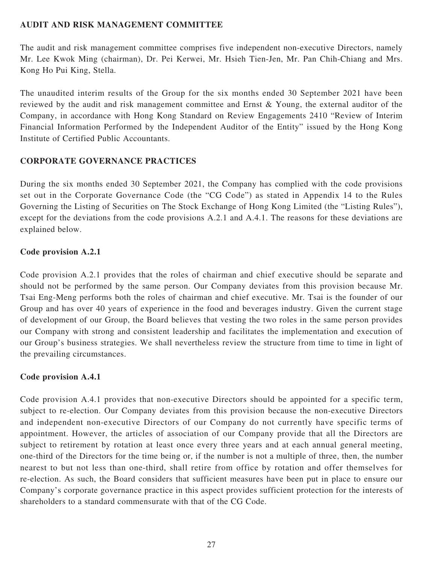### **AUDIT AND RISK MANAGEMENT COMMITTEE**

The audit and risk management committee comprises five independent non-executive Directors, namely Mr. Lee Kwok Ming (chairman), Dr. Pei Kerwei, Mr. Hsieh Tien-Jen, Mr. Pan Chih-Chiang and Mrs. Kong Ho Pui King, Stella.

The unaudited interim results of the Group for the six months ended 30 September 2021 have been reviewed by the audit and risk management committee and Ernst & Young, the external auditor of the Company, in accordance with Hong Kong Standard on Review Engagements 2410 "Review of Interim Financial Information Performed by the Independent Auditor of the Entity" issued by the Hong Kong Institute of Certified Public Accountants.

### **CORPORATE GOVERNANCE PRACTICES**

During the six months ended 30 September 2021, the Company has complied with the code provisions set out in the Corporate Governance Code (the "CG Code") as stated in Appendix 14 to the Rules Governing the Listing of Securities on The Stock Exchange of Hong Kong Limited (the "Listing Rules"), except for the deviations from the code provisions A.2.1 and A.4.1. The reasons for these deviations are explained below.

### **Code provision A.2.1**

Code provision A.2.1 provides that the roles of chairman and chief executive should be separate and should not be performed by the same person. Our Company deviates from this provision because Mr. Tsai Eng-Meng performs both the roles of chairman and chief executive. Mr. Tsai is the founder of our Group and has over 40 years of experience in the food and beverages industry. Given the current stage of development of our Group, the Board believes that vesting the two roles in the same person provides our Company with strong and consistent leadership and facilitates the implementation and execution of our Group's business strategies. We shall nevertheless review the structure from time to time in light of the prevailing circumstances.

### **Code provision A.4.1**

Code provision A.4.1 provides that non-executive Directors should be appointed for a specific term, subject to re-election. Our Company deviates from this provision because the non-executive Directors and independent non-executive Directors of our Company do not currently have specific terms of appointment. However, the articles of association of our Company provide that all the Directors are subject to retirement by rotation at least once every three years and at each annual general meeting, one-third of the Directors for the time being or, if the number is not a multiple of three, then, the number nearest to but not less than one-third, shall retire from office by rotation and offer themselves for re-election. As such, the Board considers that sufficient measures have been put in place to ensure our Company's corporate governance practice in this aspect provides sufficient protection for the interests of shareholders to a standard commensurate with that of the CG Code.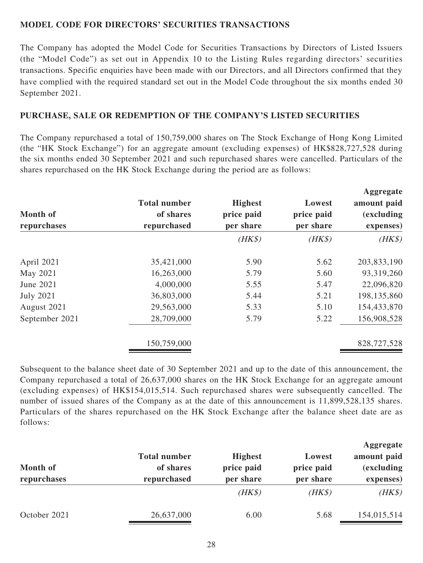### **MODEL CODE FOR DIRECTORS' SECURITIES TRANSACTIONS**

The Company has adopted the Model Code for Securities Transactions by Directors of Listed Issuers (the "Model Code") as set out in Appendix 10 to the Listing Rules regarding directors' securities transactions. Specific enquiries have been made with our Directors, and all Directors confirmed that they have complied with the required standard set out in the Model Code throughout the six months ended 30 September 2021.

### **PURCHASE, SALE OR REDEMPTION OF THE COMPANY'S LISTED SECURITIES**

The Company repurchased a total of 150,759,000 shares on The Stock Exchange of Hong Kong Limited (the "HK Stock Exchange") for an aggregate amount (excluding expenses) of HK\$828,727,528 during the six months ended 30 September 2021 and such repurchased shares were cancelled. Particulars of the shares repurchased on the HK Stock Exchange during the period are as follows:

| <b>Month of</b><br>repurchases | <b>Total number</b><br>of shares<br>repurchased | <b>Highest</b><br>price paid<br>per share | Lowest<br>price paid<br>per share | Aggregate<br>amount paid<br><i>(excluding)</i><br>expenses) |
|--------------------------------|-------------------------------------------------|-------------------------------------------|-----------------------------------|-------------------------------------------------------------|
|                                |                                                 | $(HK\$                                    | $(HK\$                            | $(HK\$                                                      |
| April 2021                     | 35,421,000                                      | 5.90                                      | 5.62                              | 203,833,190                                                 |
| May 2021                       | 16,263,000                                      | 5.79                                      | 5.60                              | 93,319,260                                                  |
| June 2021                      | 4,000,000                                       | 5.55                                      | 5.47                              | 22,096,820                                                  |
| <b>July 2021</b>               | 36,803,000                                      | 5.44                                      | 5.21                              | 198,135,860                                                 |
| August 2021                    | 29,563,000                                      | 5.33                                      | 5.10                              | 154,433,870                                                 |
| September 2021                 | 28,709,000                                      | 5.79                                      | 5.22                              | 156,908,528                                                 |
|                                | 150,759,000                                     |                                           |                                   | 828,727,528                                                 |

Subsequent to the balance sheet date of 30 September 2021 and up to the date of this announcement, the Company repurchased a total of 26,637,000 shares on the HK Stock Exchange for an aggregate amount (excluding expenses) of HK\$154,015,514. Such repurchased shares were subsequently cancelled. The number of issued shares of the Company as at the date of this announcement is 11,899,528,135 shares. Particulars of the shares repurchased on the HK Stock Exchange after the balance sheet date are as follows:

| Month of<br>repurchases | <b>Total number</b><br>of shares | <b>Highest</b><br>price paid | Lowest<br>price paid | Aggregate<br>amount paid<br><i>(excluding)</i> |
|-------------------------|----------------------------------|------------------------------|----------------------|------------------------------------------------|
|                         | repurchased                      | per share                    | per share            | expenses)                                      |
|                         |                                  | $(HK\$                       | $(HK\$               | $(HK\$                                         |
| October 2021            | 26,637,000                       | 6.00                         | 5.68                 | 154,015,514                                    |